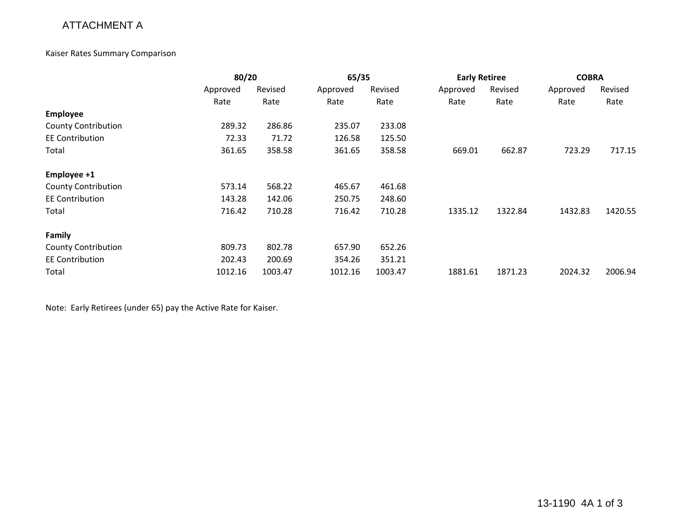## ATTACHMENT A

#### Kaiser Rates Summary Comparison

|                            | 80/20    |         | 65/35    |         | <b>Early Retiree</b> |         | <b>COBRA</b> |         |
|----------------------------|----------|---------|----------|---------|----------------------|---------|--------------|---------|
|                            | Approved | Revised | Approved | Revised | Approved             | Revised | Approved     | Revised |
|                            | Rate     | Rate    | Rate     | Rate    | Rate                 | Rate    | Rate         | Rate    |
| <b>Employee</b>            |          |         |          |         |                      |         |              |         |
| <b>County Contribution</b> | 289.32   | 286.86  | 235.07   | 233.08  |                      |         |              |         |
| <b>EE Contribution</b>     | 72.33    | 71.72   | 126.58   | 125.50  |                      |         |              |         |
| Total                      | 361.65   | 358.58  | 361.65   | 358.58  | 669.01               | 662.87  | 723.29       | 717.15  |
| Employee +1                |          |         |          |         |                      |         |              |         |
| <b>County Contribution</b> | 573.14   | 568.22  | 465.67   | 461.68  |                      |         |              |         |
| <b>EE Contribution</b>     | 143.28   | 142.06  | 250.75   | 248.60  |                      |         |              |         |
| Total                      | 716.42   | 710.28  | 716.42   | 710.28  | 1335.12              | 1322.84 | 1432.83      | 1420.55 |
| Family                     |          |         |          |         |                      |         |              |         |
| <b>County Contribution</b> | 809.73   | 802.78  | 657.90   | 652.26  |                      |         |              |         |
| <b>EE Contribution</b>     | 202.43   | 200.69  | 354.26   | 351.21  |                      |         |              |         |
| Total                      | 1012.16  | 1003.47 | 1012.16  | 1003.47 | 1881.61              | 1871.23 | 2024.32      | 2006.94 |

Note: Early Retirees (under 65) pay the Active Rate for Kaiser.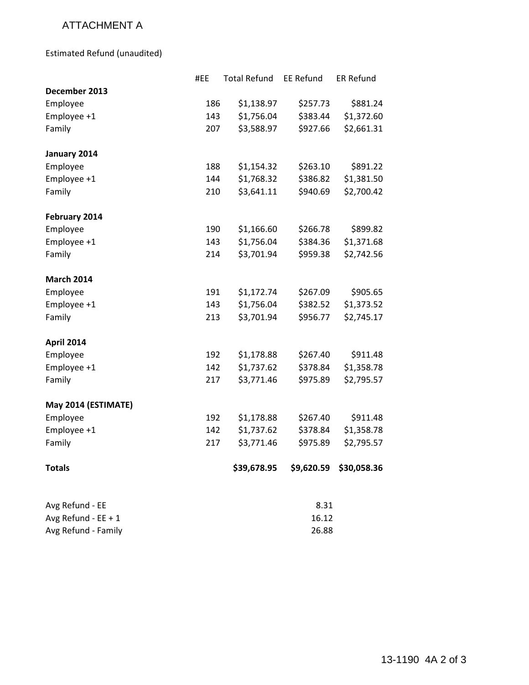# ATTACHMENT A

Estimated Refund (unaudited)

|                     | #EE | <b>Total Refund</b> | <b>EE Refund</b> | <b>ER Refund</b> |
|---------------------|-----|---------------------|------------------|------------------|
| December 2013       |     |                     |                  |                  |
| Employee            | 186 | \$1,138.97          | \$257.73         | \$881.24         |
| Employee +1         | 143 | \$1,756.04          | \$383.44         | \$1,372.60       |
| Family              | 207 | \$3,588.97          | \$927.66         | \$2,661.31       |
| January 2014        |     |                     |                  |                  |
| Employee            | 188 | \$1,154.32          | \$263.10         | \$891.22         |
| Employee +1         | 144 | \$1,768.32          | \$386.82         | \$1,381.50       |
| Family              | 210 | \$3,641.11          | \$940.69         | \$2,700.42       |
| February 2014       |     |                     |                  |                  |
| Employee            | 190 | \$1,166.60          | \$266.78         | \$899.82         |
| Employee +1         | 143 | \$1,756.04          | \$384.36         | \$1,371.68       |
| Family              | 214 | \$3,701.94          | \$959.38         | \$2,742.56       |
| <b>March 2014</b>   |     |                     |                  |                  |
| Employee            | 191 | \$1,172.74          | \$267.09         | \$905.65         |
| Employee +1         | 143 | \$1,756.04          | \$382.52         | \$1,373.52       |
| Family              | 213 | \$3,701.94          | \$956.77         | \$2,745.17       |
| April 2014          |     |                     |                  |                  |
| Employee            | 192 | \$1,178.88          | \$267.40         | \$911.48         |
| Employee +1         | 142 | \$1,737.62          | \$378.84         | \$1,358.78       |
| Family              | 217 | \$3,771.46          | \$975.89         | \$2,795.57       |
| May 2014 (ESTIMATE) |     |                     |                  |                  |
| Employee            | 192 | \$1,178.88          | \$267.40         | \$911.48         |
| Employee +1         | 142 | \$1,737.62          | \$378.84         | \$1,358.78       |
| Family              | 217 | \$3,771.46          | \$975.89         | \$2,795.57       |
| <b>Totals</b>       |     | \$39,678.95         | \$9,620.59       | \$30,058.36      |
| Avg Refund - EE     |     |                     | 8.31             |                  |
| Avg Refund - EE + 1 |     |                     | 16.12            |                  |
| Avg Refund - Family |     |                     | 26.88            |                  |